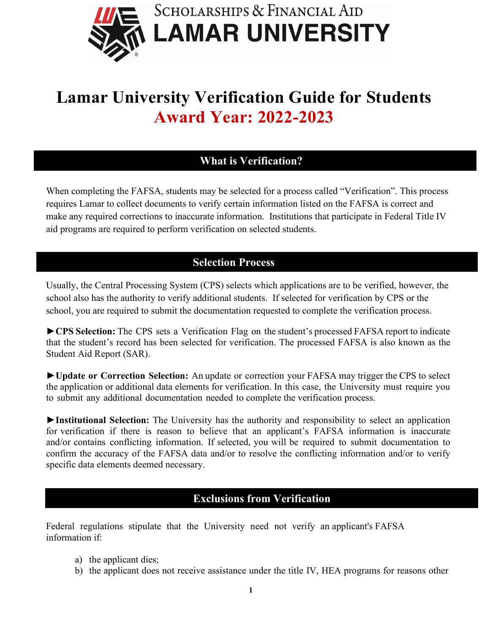

# **Lamar University Verification Guide for Students Award Year: 2022-2023**

# **What is Verification?**

When completing the FAFSA, students may be selected for a process called "Verification". This process requires Lamar to collect documents to verify certain information listed on the FAFSA is correct and make any required corrections to inaccurate information. Institutions that participate in Federal Title IV aid programs are required to perform verification on selected students.

## **Selection Process**

Usually, the Central Processing System (CPS) selects which applications are to be verified, however, the school also has the authority to verify additional students. If selected for verification by CPS or the school, you are required to submit the documentation requested to complete the verification process.

**►CPS Selection:** The CPS sets a Verification Flag on the student's processed FAFSA report to indicate that the student's record has been selected for verification. The processed FAFSA is also known as the Student Aid Report (SAR).

**►Update or Correction Selection:** An update or correction your FAFSA may trigger the CPS to select the application or additional data elements for verification. In this case, the University must require you to submit any additional documentation needed to complete the verification process.

**►Institutional Selection:** The University has the authority and responsibility to select an application for verification if there is reason to believe that an applicant's FAFSA information is inaccurate and/or contains conflicting information. If selected, you will be required to submit documentation to confirm the accuracy of the FAFSA data and/or to resolve the conflicting information and/or to verify specific data elements deemed necessary.

## **Exclusions from Verification**

Federal regulations stipulate that the University need not verify an applicant's FAFSA information if:

- a) the applicant dies;
- b) the applicant does not receive assistance under the title IV, HEA programs for reasons other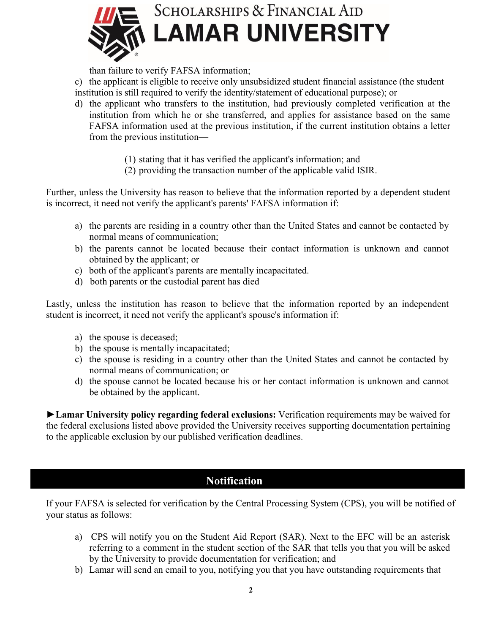

than failure to verify FAFSA information;

c) the applicant is eligible to receive only unsubsidized student financial assistance (the student institution is still required to verify the identity/statement of educational purpose); or

- d) the applicant who transfers to the institution, had previously completed verification at the institution from which he or she transferred, and applies for assistance based on the same FAFSA information used at the previous institution, if the current institution obtains a letter from the previous institution—
	- (1) stating that it has verified the applicant's information; and
	- (2) providing the transaction number of the applicable valid ISIR.

Further, unless the University has reason to believe that the information reported by a dependent student is incorrect, it need not verify the applicant's parents' FAFSA information if:

- a) the parents are residing in a country other than the United States and cannot be contacted by normal means of communication;
- b) the parents cannot be located because their contact information is unknown and cannot obtained by the applicant; or
- c) both of the applicant's parents are mentally incapacitated.
- d) both parents or the custodial parent has died

Lastly, unless the institution has reason to believe that the information reported by an independent student is incorrect, it need not verify the applicant's spouse's information if:

- a) the spouse is deceased;
- b) the spouse is mentally incapacitated;
- c) the spouse is residing in a country other than the United States and cannot be contacted by normal means of communication; or
- d) the spouse cannot be located because his or her contact information is unknown and cannot be obtained by the applicant.

**►Lamar University policy regarding federal exclusions:** Verification requirements may be waived for the federal exclusions listed above provided the University receives supporting documentation pertaining to the applicable exclusion by our published verification deadlines.

# **Notification**

If your FAFSA is selected for verification by the Central Processing System (CPS), you will be notified of your status as follows:

- a) CPS will notify you on the Student Aid Report (SAR). Next to the EFC will be an asterisk referring to a comment in the student section of the SAR that tells you that you will be asked by the University to provide documentation for verification; and
- b) Lamar will send an email to you, notifying you that you have outstanding requirements that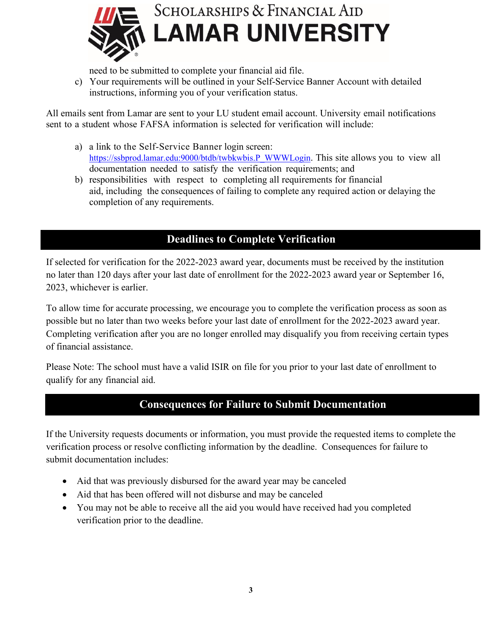

need to be submitted to complete your financial aid file.

c) Your requirements will be outlined in your Self-Service Banner Account with detailed instructions, informing you of your verification status.

All emails sent from Lamar are sent to your LU student email account. University email notifications sent to a student whose FAFSA information is selected for verification will include:

- a) a link to the Self-Service Banner login screen: [https://ssbprod.lamar.edu:9000/btdb/twbkwbis.P\\_WWWLogin.](https://ssbprod.lamar.edu:9000/btdb/twbkwbis.P_WWWLogin) This site allows you to view all documentation needed to satisfy the verification requirements; and
- b) responsibilities with respect to completing all requirements for financial aid, including the consequences of failing to complete any required action or delaying the completion of any requirements.

# **Deadlines to Complete Verification**

If selected for verification for the 2022-2023 award year, documents must be received by the institution no later than 120 days after your last date of enrollment for the 2022-2023 award year or September 16, 2023, whichever is earlier.

To allow time for accurate processing, we encourage you to complete the verification process as soon as possible but no later than two weeks before your last date of enrollment for the 2022-2023 award year. Completing verification after you are no longer enrolled may disqualify you from receiving certain types of financial assistance.

Please Note: The school must have a valid ISIR on file for you prior to your last date of enrollment to qualify for any financial aid.

# **Consequences for Failure to Submit Documentation**

If the University requests documents or information, you must provide the requested items to complete the verification process or resolve conflicting information by the deadline. Consequences for failure to submit documentation includes:

- Aid that was previously disbursed for the award year may be canceled
- Aid that has been offered will not disburse and may be canceled
- You may not be able to receive all the aid you would have received had you completed verification prior to the deadline.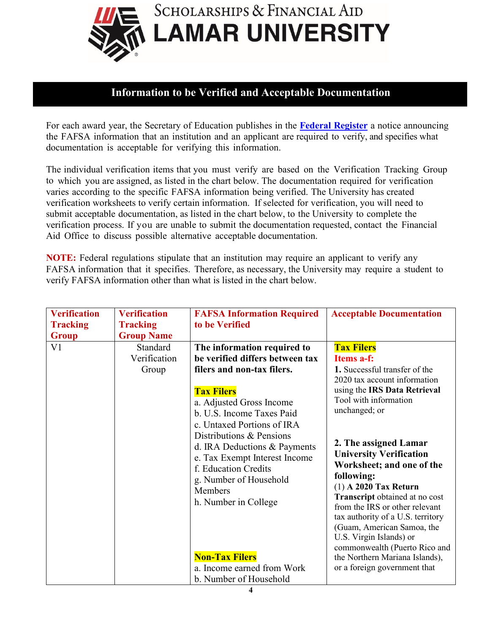

# **Information to be Verified and Acceptable Documentation**

For each award year, the Secretary of Education publishes in the **Federal [Register](https://www.govinfo.gov/content/pkg/FR-2021-09-01/pdf/2021-18864.pdf?utm_source=federalregister.gov&utm_medium=email&utm_campaign=subscription+mailing+list)** a notice announcing the FAFSA information that an institution and an applicant are required to verify, and specifies what documentation is acceptable for verifying this information.

The individual verification items that you must verify are based on the Verification Tracking Group to which you are assigned, as listed in the chart below. The documentation required for verification varies according to the specific FAFSA information being verified. The University has created verification worksheets to verify certain information. If selected for verification, you will need to submit acceptable documentation, as listed in the chart below, to the University to complete the verification process. If you are unable to submit the documentation requested, contact the Financial Aid Office to discuss possible alternative acceptable documentation.

**NOTE:** Federal regulations stipulate that an institution may require an applicant to verify any FAFSA information that it specifies. Therefore, as necessary, the University may require a student to verify FAFSA information other than what is listed in the chart below.

| <b>Verification</b><br><b>Tracking</b> | <b>Verification</b><br><b>Tracking</b>                 | <b>FAFSA Information Required</b><br>to be Verified                                                                                                                                                                                                                                                                                                                         | <b>Acceptable Documentation</b>                                                                                                                                                                                                                                                                                                                                                                                                                                              |
|----------------------------------------|--------------------------------------------------------|-----------------------------------------------------------------------------------------------------------------------------------------------------------------------------------------------------------------------------------------------------------------------------------------------------------------------------------------------------------------------------|------------------------------------------------------------------------------------------------------------------------------------------------------------------------------------------------------------------------------------------------------------------------------------------------------------------------------------------------------------------------------------------------------------------------------------------------------------------------------|
| <b>Group</b><br>V <sub>1</sub>         | <b>Group Name</b><br>Standard<br>Verification<br>Group | The information required to<br>be verified differs between tax<br>filers and non-tax filers.                                                                                                                                                                                                                                                                                | <b>Tax Filers</b><br>Items a-f:<br>1. Successful transfer of the<br>2020 tax account information                                                                                                                                                                                                                                                                                                                                                                             |
|                                        |                                                        | <b>Tax Filers</b><br>a. Adjusted Gross Income<br>b. U.S. Income Taxes Paid<br>c. Untaxed Portions of IRA<br>Distributions & Pensions<br>d. IRA Deductions & Payments<br>e. Tax Exempt Interest Income<br>f. Education Credits<br>g. Number of Household<br>Members<br>h. Number in College<br><b>Non-Tax Filers</b><br>a. Income earned from Work<br>b. Number of Household | using the IRS Data Retrieval<br>Tool with information<br>unchanged; or<br>2. The assigned Lamar<br><b>University Verification</b><br>Worksheet; and one of the<br>following:<br>$(1)$ A 2020 Tax Return<br>Transcript obtained at no cost<br>from the IRS or other relevant<br>tax authority of a U.S. territory<br>(Guam, American Samoa, the<br>U.S. Virgin Islands) or<br>commonwealth (Puerto Rico and<br>the Northern Mariana Islands),<br>or a foreign government that |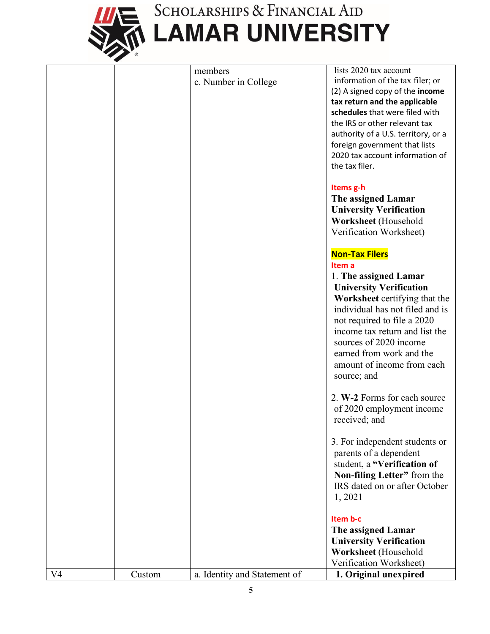

# SCHOLARSHIPS & FINANCIAL AID<br>LAMAR UNIVERSITY

|                |        | members                      | lists 2020 tax account              |
|----------------|--------|------------------------------|-------------------------------------|
|                |        | c. Number in College         | information of the tax filer; or    |
|                |        |                              | (2) A signed copy of the income     |
|                |        |                              | tax return and the applicable       |
|                |        |                              | schedules that were filed with      |
|                |        |                              | the IRS or other relevant tax       |
|                |        |                              | authority of a U.S. territory, or a |
|                |        |                              | foreign government that lists       |
|                |        |                              | 2020 tax account information of     |
|                |        |                              | the tax filer.                      |
|                |        |                              |                                     |
|                |        |                              | Items g-h                           |
|                |        |                              | The assigned Lamar                  |
|                |        |                              |                                     |
|                |        |                              | <b>University Verification</b>      |
|                |        |                              | Worksheet (Household                |
|                |        |                              | Verification Worksheet)             |
|                |        |                              | <b>Non-Tax Filers</b>               |
|                |        |                              | Item a                              |
|                |        |                              | 1. The assigned Lamar               |
|                |        |                              | <b>University Verification</b>      |
|                |        |                              | Worksheet certifying that the       |
|                |        |                              | individual has not filed and is     |
|                |        |                              |                                     |
|                |        |                              | not required to file a 2020         |
|                |        |                              | income tax return and list the      |
|                |        |                              | sources of 2020 income              |
|                |        |                              | earned from work and the            |
|                |        |                              | amount of income from each          |
|                |        |                              | source; and                         |
|                |        |                              | 2. W-2 Forms for each source        |
|                |        |                              | of 2020 employment income           |
|                |        |                              |                                     |
|                |        |                              | received; and                       |
|                |        |                              | 3. For independent students or      |
|                |        |                              | parents of a dependent              |
|                |        |                              | student, a "Verification of         |
|                |        |                              | Non-filing Letter" from the         |
|                |        |                              | IRS dated on or after October       |
|                |        |                              | 1,2021                              |
|                |        |                              |                                     |
|                |        |                              | Item b-c                            |
|                |        |                              | The assigned Lamar                  |
|                |        |                              | <b>University Verification</b>      |
|                |        |                              | Worksheet (Household                |
|                |        |                              | Verification Worksheet)             |
| V <sub>4</sub> | Custom | a. Identity and Statement of | 1. Original unexpired               |
|                |        |                              |                                     |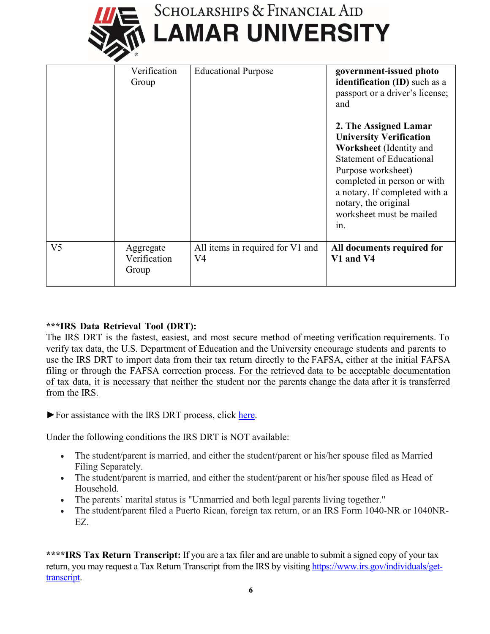| SCHOLARSHIPS & FINANCIAL AID |  |  |  |
|------------------------------|--|--|--|

|                | Verification<br>Group              | <b>Educational Purpose</b>             | government-issued photo<br>identification (ID) such as a<br>passport or a driver's license;<br>and                                                                                                                                                                     |
|----------------|------------------------------------|----------------------------------------|------------------------------------------------------------------------------------------------------------------------------------------------------------------------------------------------------------------------------------------------------------------------|
|                |                                    |                                        | 2. The Assigned Lamar<br><b>University Verification</b><br>Worksheet (Identity and<br><b>Statement of Educational</b><br>Purpose worksheet)<br>completed in person or with<br>a notary. If completed with a<br>notary, the original<br>worksheet must be mailed<br>1n. |
| V <sub>5</sub> | Aggregate<br>Verification<br>Group | All items in required for V1 and<br>V4 | All documents required for<br>V1 and V4                                                                                                                                                                                                                                |

#### **\*\*\*IRS Data Retrieval Tool (DRT):**

The IRS DRT is the fastest, easiest, and most secure method of meeting verification requirements. To verify tax data, the U.S. Department of Education and the University encourage students and parents to use the IRS DRT to import data from their tax return directly to the FAFSA, either at the initial FAFSA filing or through the FAFSA correction process. For the retrieved data to be acceptable documentation of tax data, it is necessary that neither the student nor the parents change the data after it is transferred from the IRS.

►For assistance with the IRS DRT process, click [here.](https://studentaid.gov/resources/irs-drt-text)

Under the following conditions the IRS DRT is NOT available:

- The student/parent is married, and either the student/parent or his/her spouse filed as Married Filing Separately.
- The student/parent is married, and either the student/parent or his/her spouse filed as Head of Household.
- The parents' marital status is "Unmarried and both legal parents living together."
- The student/parent filed a Puerto Rican, foreign tax return, or an IRS Form 1040-NR or 1040NR-EZ.

**\*\*\*\*IRS Tax Return Transcript:** If you are a tax filer and are unable to submit a signed copy of your tax return, you may request a Tax Return Transcript from the IRS by visiting [https://www.irs.gov/individuals/get](https://www.irs.gov/individuals/get-transcript)[transcript.](https://www.irs.gov/individuals/get-transcript)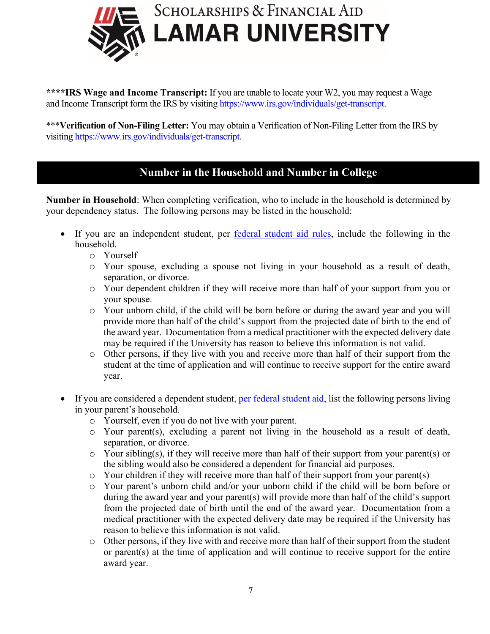

**\*\*\*\*IRS Wage and Income Transcript:** If you are unable to locate your W2, you may request a Wage and Income Transcript form the IRS by visitin[g https://www.irs.gov/individuals/get-transcript.](https://www.irs.gov/individuals/get-transcript)

\*\*\***Verification of Non-Filing Letter:** You may obtain a Verification of Non-Filing Letter from the IRS by visiting [https://www.irs.gov/individuals/get-transcript.](https://www.irs.gov/individuals/get-transcript)

# **Number in the Household and Number in College**

**Number in Household**: When completing verification, who to include in the household is determined by your dependency status. The following persons may be listed in the household:

- If you are an independent student, per [federal student aid rules,](https://studentaid.gov/apply-for-aid/fafsa/filling-out/dependency) include the following in the household.
	- o Yourself
	- o Your spouse, excluding a spouse not living in your household as a result of death, separation, or divorce.
	- o Your dependent children if they will receive more than half of your support from you or your spouse.
	- o Your unborn child, if the child will be born before or during the award year and you will provide more than half of the child's support from the projected date of birth to the end of the award year. Documentation from a medical practitioner with the expected delivery date may be required if the University has reason to believe this information is not valid.
	- o Other persons, if they live with you and receive more than half of their support from the student at the time of application and will continue to receive support for the entire award year.
- If you are considered a dependent studen[t, per federal student aid,](https://studentaid.gov/apply-for-aid/fafsa/filling-out/dependency) list the following persons living in your parent's household.
	- o Yourself, even if you do not live with your parent.
	- o Your parent(s), excluding a parent not living in the household as a result of death, separation, or divorce.
	- o Your sibling(s), if they will receive more than half of their support from your parent(s) or the sibling would also be considered a dependent for financial aid purposes.
	- o Your children if they will receive more than half of their support from your parent(s)
	- o Your parent's unborn child and/or your unborn child if the child will be born before or during the award year and your parent(s) will provide more than half of the child's support from the projected date of birth until the end of the award year. Documentation from a medical practitioner with the expected delivery date may be required if the University has reason to believe this information is not valid.
	- o Other persons, if they live with and receive more than half of their support from the student or parent(s) at the time of application and will continue to receive support for the entire award year.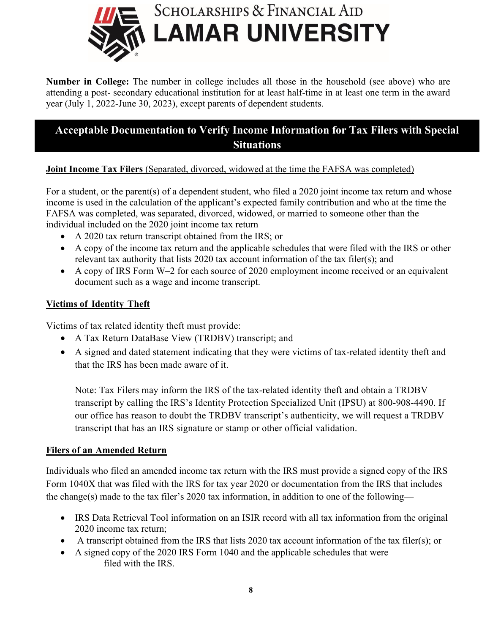

**Number in College:** The number in college includes all those in the household (see above) who are attending a post- secondary educational institution for at least half-time in at least one term in the award year (July 1, 2022-June 30, 2023), except parents of dependent students.

# **Acceptable Documentation to Verify Income Information for Tax Filers with Special Situations**

#### **Joint Income Tax Filers** (Separated, divorced, widowed at the time the FAFSA was completed)

For a student, or the parent(s) of a dependent student, who filed a 2020 joint income tax return and whose income is used in the calculation of the applicant's expected family contribution and who at the time the FAFSA was completed, was separated, divorced, widowed, or married to someone other than the individual included on the 2020 joint income tax return—

- A 2020 tax return transcript obtained from the IRS; or
- A copy of the income tax return and the applicable schedules that were filed with the IRS or other relevant tax authority that lists 2020 tax account information of the tax filer(s); and
- A copy of IRS Form W–2 for each source of 2020 employment income received or an equivalent document such as a wage and income transcript.

#### **Victims of Identity Theft**

Victims of tax related identity theft must provide:

- A Tax Return DataBase View (TRDBV) transcript; and
- A signed and dated statement indicating that they were victims of tax-related identity theft and that the IRS has been made aware of it.

Note: Tax Filers may inform the IRS of the tax-related identity theft and obtain a TRDBV transcript by calling the IRS's Identity Protection Specialized Unit (IPSU) at 800-908-4490. If our office has reason to doubt the TRDBV transcript's authenticity, we will request a TRDBV transcript that has an IRS signature or stamp or other official validation.

#### **Filers of an Amended Return**

Individuals who filed an amended income tax return with the IRS must provide a signed copy of the IRS Form 1040X that was filed with the IRS for tax year 2020 or documentation from the IRS that includes the change(s) made to the tax filer's 2020 tax information, in addition to one of the following—

- IRS Data Retrieval Tool information on an ISIR record with all tax information from the original 2020 income tax return;
- A transcript obtained from the IRS that lists 2020 tax account information of the tax filer(s); or
- A signed copy of the 2020 IRS Form 1040 and the applicable schedules that were filed with the IRS.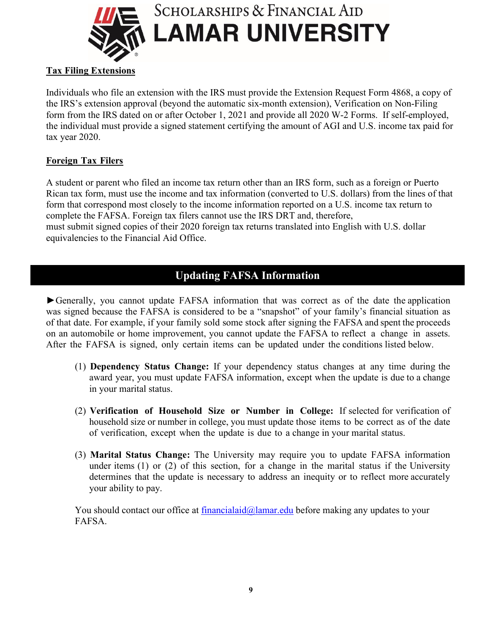

#### **Tax Filing Extensions**

Individuals who file an extension with the IRS must provide the Extension Request Form 4868, a copy of the IRS's extension approval (beyond the automatic six-month extension), Verification on Non-Filing form from the IRS dated on or after October 1, 2021 and provide all 2020 W-2 Forms. If self-employed, the individual must provide a signed statement certifying the amount of AGI and U.S. income tax paid for tax year 2020.

#### **Foreign Tax Filers**

A student or parent who filed an income tax return other than an IRS form, such as a foreign or Puerto Rican tax form, must use the income and tax information (converted to U.S. dollars) from the lines of that form that correspond most closely to the income information reported on a U.S. income tax return to complete the FAFSA. Foreign tax filers cannot use the IRS DRT and, therefore, must submit signed copies of their 2020 foreign tax returns translated into English with U.S. dollar equivalencies to the Financial Aid Office.

# **Updating FAFSA Information**

► Generally, you cannot update FAFSA information that was correct as of the date the application was signed because the FAFSA is considered to be a "snapshot" of your family's financial situation as of that date. For example, if your family sold some stock after signing the FAFSA and spent the proceeds on an automobile or home improvement, you cannot update the FAFSA to reflect a change in assets. After the FAFSA is signed, only certain items can be updated under the conditions listed below.

- (1) **Dependency Status Change:** If your dependency status changes at any time during the award year, you must update FAFSA information, except when the update is due to a change in your marital status.
- (2) **Verification of Household Size or Number in College:** If selected for verification of household size or number in college, you must update those items to be correct as of the date of verification, except when the update is due to a change in your marital status.
- (3) **Marital Status Change:** The University may require you to update FAFSA information under items (1) or (2) of this section, for a change in the marital status if the University determines that the update is necessary to address an inequity or to reflect more accurately your ability to pay.

You should contact our office at **financialaid@lamar.edu** before making any updates to your FAFSA.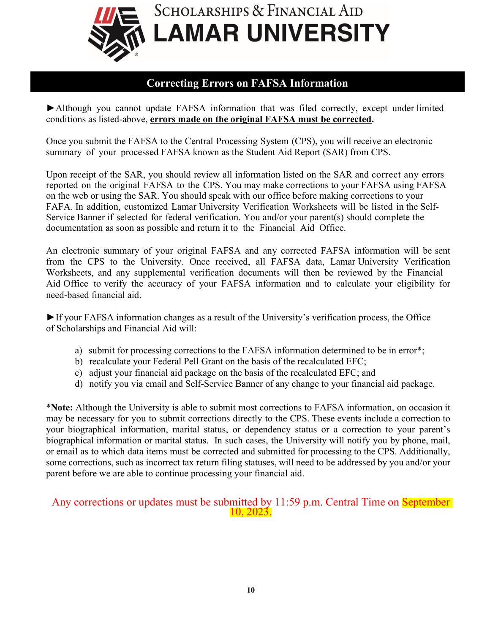

#### **Correcting Errors on FAFSA Information**

▶ Although you cannot update FAFSA information that was filed correctly, except under limited conditions as listed-above, **errors made on the original FAFSA must be corrected.**

Once you submit the FAFSA to the Central Processing System (CPS), you will receive an electronic summary of your processed FAFSA known as the Student Aid Report (SAR) from CPS.

Upon receipt of the SAR, you should review all information listed on the SAR and correct any errors reported on the original FAFSA to the CPS. You may make corrections to your FAFSA using FAFSA on the web or using the SAR. You should speak with our office before making corrections to your FAFA. In addition, customized Lamar University Verification Worksheets will be listed in the Self-Service Banner if selected for federal verification. You and/or your parent(s) should complete the documentation as soon as possible and return it to the Financial Aid Office.

An electronic summary of your original FAFSA and any corrected FAFSA information will be sent from the CPS to the University. Once received, all FAFSA data, Lamar University Verification Worksheets, and any supplemental verification documents will then be reviewed by the Financial Aid Office to verify the accuracy of your FAFSA information and to calculate your eligibility for need-based financial aid.

►If your FAFSA information changes as a result of the University's verification process, the Office of Scholarships and Financial Aid will:

- a) submit for processing corrections to the FAFSA information determined to be in error\*;
- b) recalculate your Federal Pell Grant on the basis of the recalculated EFC;
- c) adjust your financial aid package on the basis of the recalculated EFC; and
- d) notify you via email and Self-Service Banner of any change to your financial aid package.

\***Note:** Although the University is able to submit most corrections to FAFSA information, on occasion it may be necessary for you to submit corrections directly to the CPS. These events include a correction to your biographical information, marital status, or dependency status or a correction to your parent's biographical information or marital status. In such cases, the University will notify you by phone, mail, or email as to which data items must be corrected and submitted for processing to the CPS. Additionally, some corrections, such as incorrect tax return filing statuses, will need to be addressed by you and/or your parent before we are able to continue processing your financial aid.

# Any corrections or updates must be submitted by 11:59 p.m. Central Time on September 10, 2023.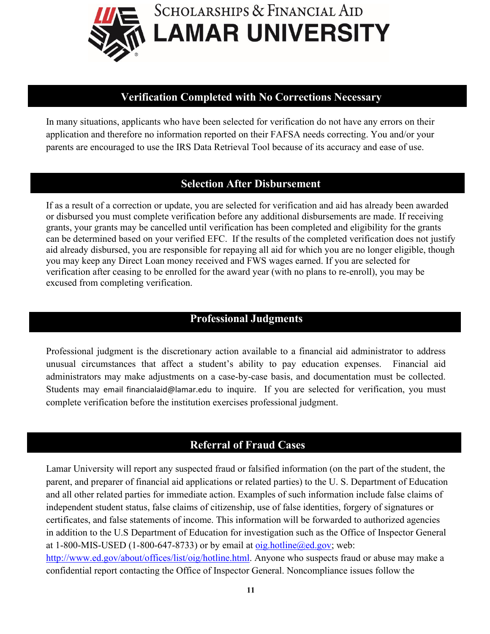

#### **Verification Completed with No Corrections Necessary**

In many situations, applicants who have been selected for verification do not have any errors on their application and therefore no information reported on their FAFSA needs correcting. You and/or your parents are encouraged to use the IRS Data Retrieval Tool because of its accuracy and ease of use.

## **Selection After Disbursement**

If as a result of a correction or update, you are selected for verification and aid has already been awarded or disbursed you must complete verification before any additional disbursements are made. If receiving grants, your grants may be cancelled until verification has been completed and eligibility for the grants can be determined based on your verified EFC. If the results of the completed verification does not justify aid already disbursed, you are responsible for repaying all aid for which you are no longer eligible, though you may keep any Direct Loan money received and FWS wages earned. If you are selected for verification after ceasing to be enrolled for the award year (with no plans to re-enroll), you may be excused from completing verification.

# **Professional Judgments**

Professional judgment is the discretionary action available to a financial aid administrator to address unusual circumstances that affect a student's ability to pay education expenses. Financial aid administrators may make adjustments on a case-by-case basis, and documentation must be collected. Students may email financialaid@lamar.edu to inquire. If you are selected for verification, you must complete verification before the institution exercises professional judgment.

# **Referral of Fraud Cases**

Lamar University will report any suspected fraud or falsified information (on the part of the student, the parent, and preparer of financial aid applications or related parties) to the U. S. Department of Education and all other related parties for immediate action. Examples of such information include false claims of independent student status, false claims of citizenship, use of false identities, forgery of signatures or certificates, and false statements of income. This information will be forwarded to authorized agencies in addition to the U.S Department of Education for investigation such as the Office of Inspector General at 1-800-MIS-USED (1-800-647-8733) or by email at  $oig.hotline@ed.gov$ ; web: [http://www.ed.gov/about/offices/list/oig/hotline.html.](http://www.ed.gov/about/offices/list/oig/hotline.html) Anyone who suspects fraud or abuse may make a confidential report contacting the Office of Inspector General. Noncompliance issues follow the